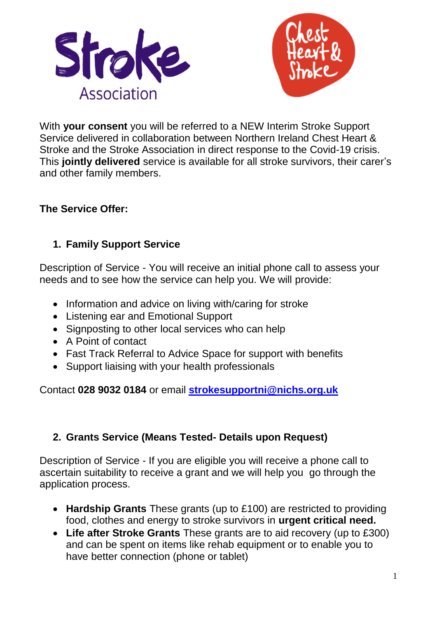



With **your consent** you will be referred to a NEW Interim Stroke Support Service delivered in collaboration between Northern Ireland Chest Heart & Stroke and the Stroke Association in direct response to the Covid-19 crisis. This **jointly delivered** service is available for all stroke survivors, their carer's and other family members.

## **The Service Offer:**

## **1. Family Support Service**

Description of Service - You will receive an initial phone call to assess your needs and to see how the service can help you. We will provide:

- Information and advice on living with/caring for stroke
- Listening ear and Emotional Support
- Signposting to other local services who can help
- A Point of contact
- Fast Track Referral to Advice Space for support with benefits
- Support liaising with your health professionals

Contact **028 9032 0184** or email **[strokesupportni@nichs.org.uk](mailto:strokesupportni@nichs.org.uk)**

#### **2. Grants Service (Means Tested- Details upon Request)**

Description of Service - If you are eligible you will receive a phone call to ascertain suitability to receive a grant and we will help you go through the application process.

- **Hardship Grants** These grants (up to £100) are restricted to providing food, clothes and energy to stroke survivors in **urgent critical need.**
- **Life after Stroke Grants** These grants are to aid recovery (up to £300) and can be spent on items like rehab equipment or to enable you to have better connection (phone or tablet)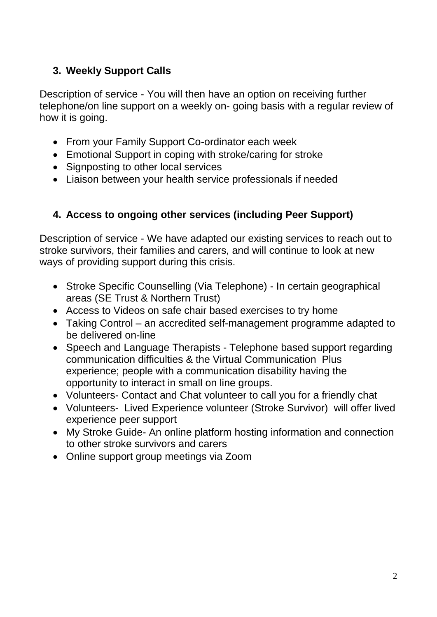# **3. Weekly Support Calls**

Description of service - You will then have an option on receiving further telephone/on line support on a weekly on- going basis with a regular review of how it is going.

- From your Family Support Co-ordinator each week
- Emotional Support in coping with stroke/caring for stroke
- Signposting to other local services
- Liaison between your health service professionals if needed

## **4. Access to ongoing other services (including Peer Support)**

Description of service - We have adapted our existing services to reach out to stroke survivors, their families and carers, and will continue to look at new ways of providing support during this crisis.

- Stroke Specific Counselling (Via Telephone) In certain geographical areas (SE Trust & Northern Trust)
- Access to Videos on safe chair based exercises to try home
- Taking Control an accredited self-management programme adapted to be delivered on-line
- Speech and Language Therapists Telephone based support regarding communication difficulties & the Virtual Communication Plus experience; people with a communication disability having the opportunity to interact in small on line groups.
- Volunteers- Contact and Chat volunteer to call you for a friendly chat
- Volunteers- Lived Experience volunteer (Stroke Survivor) will offer lived experience peer support
- My Stroke Guide- An online platform hosting information and connection to other stroke survivors and carers
- Online support group meetings via Zoom